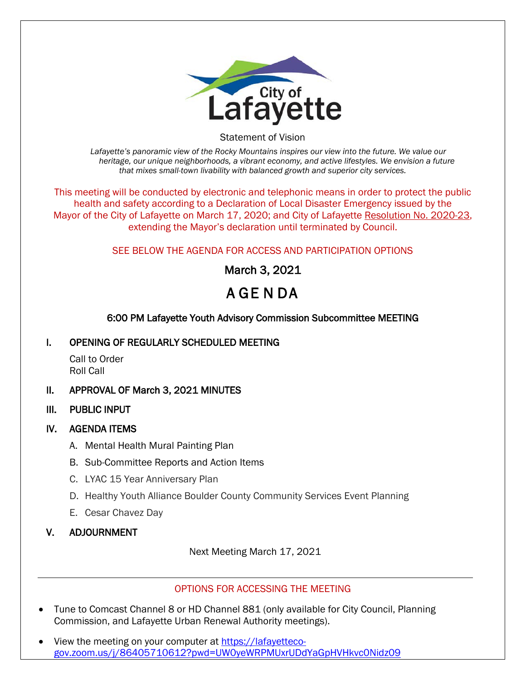

Statement of Vision

*Lafayette's panoramic view of the Rocky Mountains inspires our view into the future. We value our heritage, our unique neighborhoods, a vibrant economy, and active lifestyles. We envision a future that mixes small-town livability with balanced growth and superior city services.*

This meeting will be conducted by electronic and telephonic means in order to protect the public health and safety according to a Declaration of Local Disaster Emergency issued by the Mayor of the City of Lafayette on March 17, 2020; and City of Lafayette Resolution No. 2020-23, extending the Mayor's declaration until terminated by Council.

# SEE BELOW THE AGENDA FOR ACCESS AND PARTICIPATION OPTIONS

March 3, 2021

# A GE N DA

# 6:00 PM Lafayette Youth Advisory Commission Subcommittee MEETING

## I. OPENING OF REGULARLY SCHEDULED MEETING

Call to Order Roll Call

- II. APPROVAL OF March 3, 2021 MINUTES
- III. PUBLIC INPUT

## IV. AGENDA ITEMS

- A. Mental Health Mural Painting Plan
- B. Sub-Committee Reports and Action Items
- C. LYAC 15 Year Anniversary Plan
- D. Healthy Youth Alliance Boulder County Community Services Event Planning
- E. Cesar Chavez Day

## V. ADJOURNMENT

Next Meeting March 17, 2021

#### OPTIONS FOR ACCESSING THE MEETING

- Tune to Comcast Channel 8 or HD Channel 881 (only available for City Council, Planning Commission, and Lafayette Urban Renewal Authority meetings).
- View the meeting on your computer at [https://lafayetteco](https://lafayetteco-gov.zoom.us/j/86405710612?pwd=UW0yeWRPMUxrUDdYaGpHVHkvc0Nidz09)[gov.zoom.us/j/86405710612?pwd=UW0yeWRPMUxrUDdYaGpHVHkvc0Nidz09](https://lafayetteco-gov.zoom.us/j/86405710612?pwd=UW0yeWRPMUxrUDdYaGpHVHkvc0Nidz09)